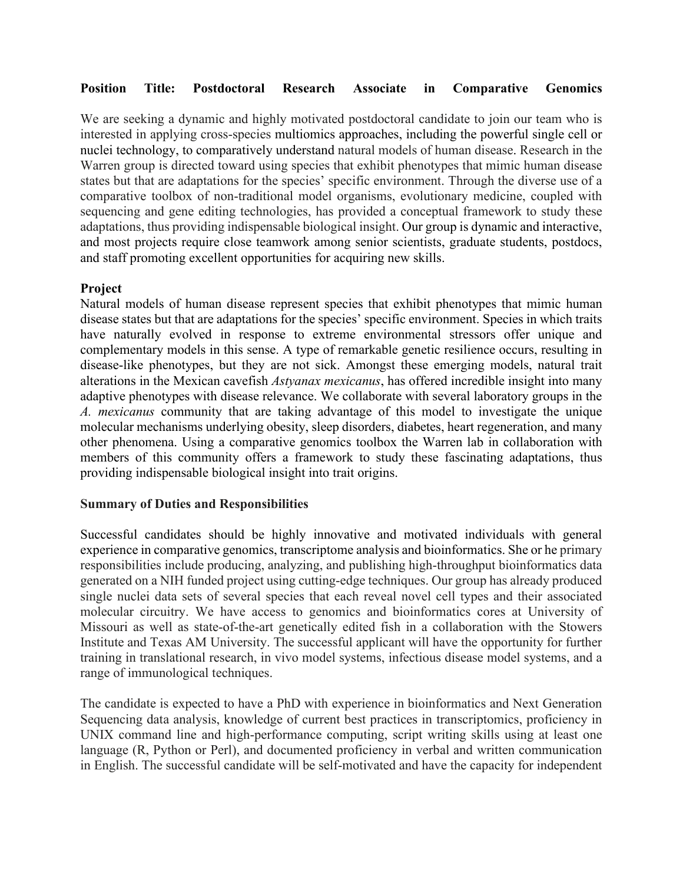## **Position Title: Postdoctoral Research Associate in Comparative Genomics**

We are seeking a dynamic and highly motivated postdoctoral candidate to join our team who is interested in applying cross-species multiomics approaches, including the powerful single cell or nuclei technology, to comparatively understand natural models of human disease. Research in the Warren group is directed toward using species that exhibit phenotypes that mimic human disease states but that are adaptations for the species' specific environment. Through the diverse use of a comparative toolbox of non-traditional model organisms, evolutionary medicine, coupled with sequencing and gene editing technologies, has provided a conceptual framework to study these adaptations, thus providing indispensable biological insight. Our group is dynamic and interactive, and most projects require close teamwork among senior scientists, graduate students, postdocs, and staff promoting excellent opportunities for acquiring new skills.

## **Project**

Natural models of human disease represent species that exhibit phenotypes that mimic human disease states but that are adaptations for the species' specific environment. Species in which traits have naturally evolved in response to extreme environmental stressors offer unique and complementary models in this sense. A type of remarkable genetic resilience occurs, resulting in disease-like phenotypes, but they are not sick. Amongst these emerging models, natural trait alterations in the Mexican cavefish *Astyanax mexicanus*, has offered incredible insight into many adaptive phenotypes with disease relevance. We collaborate with several laboratory groups in the *A. mexicanus* community that are taking advantage of this model to investigate the unique molecular mechanisms underlying obesity, sleep disorders, diabetes, heart regeneration, and many other phenomena. Using a comparative genomics toolbox the Warren lab in collaboration with members of this community offers a framework to study these fascinating adaptations, thus providing indispensable biological insight into trait origins.

## **Summary of Duties and Responsibilities**

Successful candidates should be highly innovative and motivated individuals with general experience in comparative genomics, transcriptome analysis and bioinformatics. She or he primary responsibilities include producing, analyzing, and publishing high-throughput bioinformatics data generated on a NIH funded project using cutting-edge techniques. Our group has already produced single nuclei data sets of several species that each reveal novel cell types and their associated molecular circuitry. We have access to genomics and bioinformatics cores at University of Missouri as well as state-of-the-art genetically edited fish in a collaboration with the Stowers Institute and Texas AM University. The successful applicant will have the opportunity for further training in translational research, in vivo model systems, infectious disease model systems, and a range of immunological techniques.

The candidate is expected to have a PhD with experience in bioinformatics and Next Generation Sequencing data analysis, knowledge of current best practices in transcriptomics, proficiency in UNIX command line and high-performance computing, script writing skills using at least one language (R, Python or Perl), and documented proficiency in verbal and written communication in English. The successful candidate will be self-motivated and have the capacity for independent